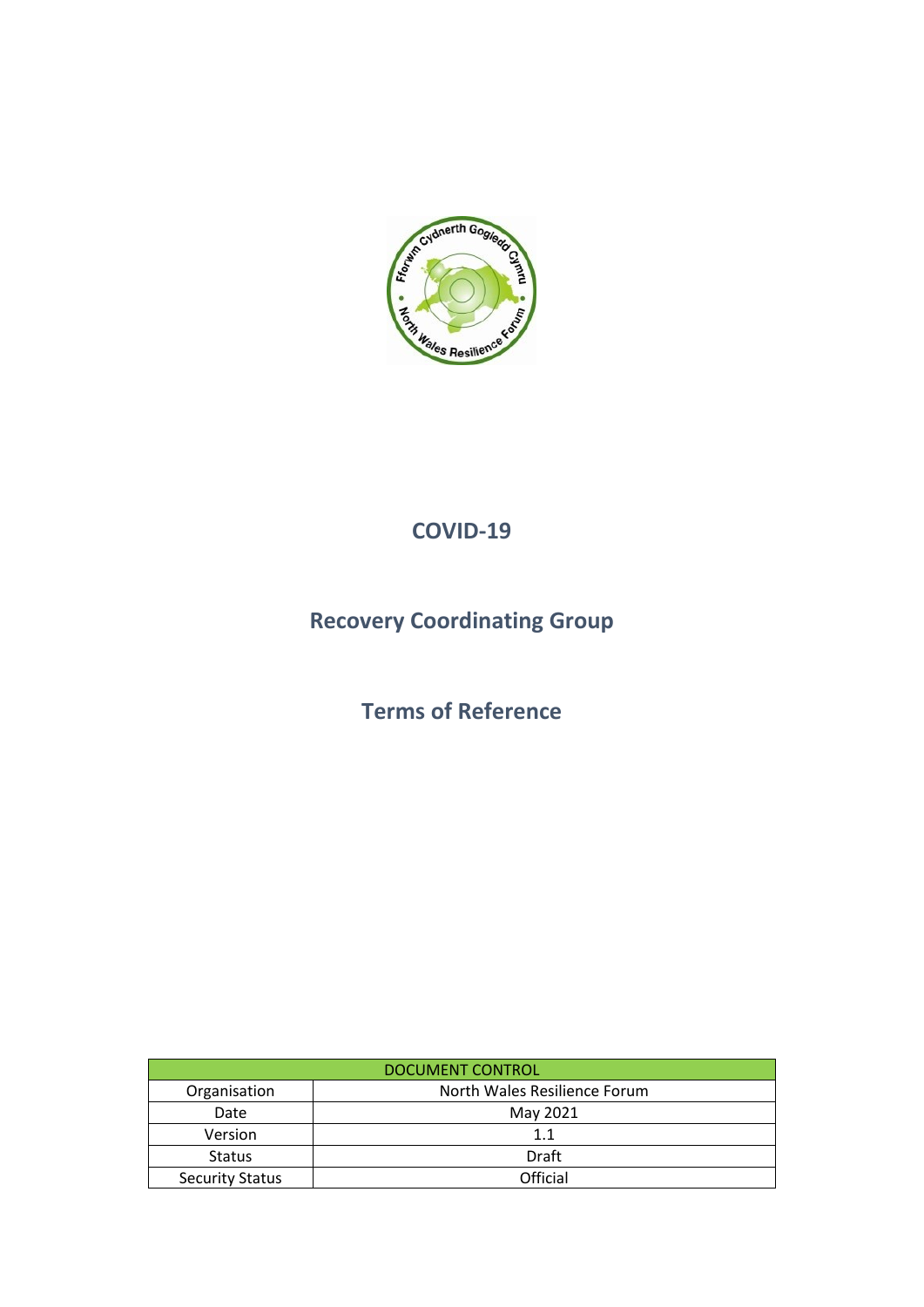

### **COVID-19**

# **Recovery Coordinating Group**

## **Terms of Reference**

| DOCUMENT CONTROL       |                              |  |  |
|------------------------|------------------------------|--|--|
| Organisation           | North Wales Resilience Forum |  |  |
| Date                   | May 2021                     |  |  |
| <b>Version</b>         | 1.1                          |  |  |
| <b>Status</b>          | Draft                        |  |  |
| <b>Security Status</b> | Official                     |  |  |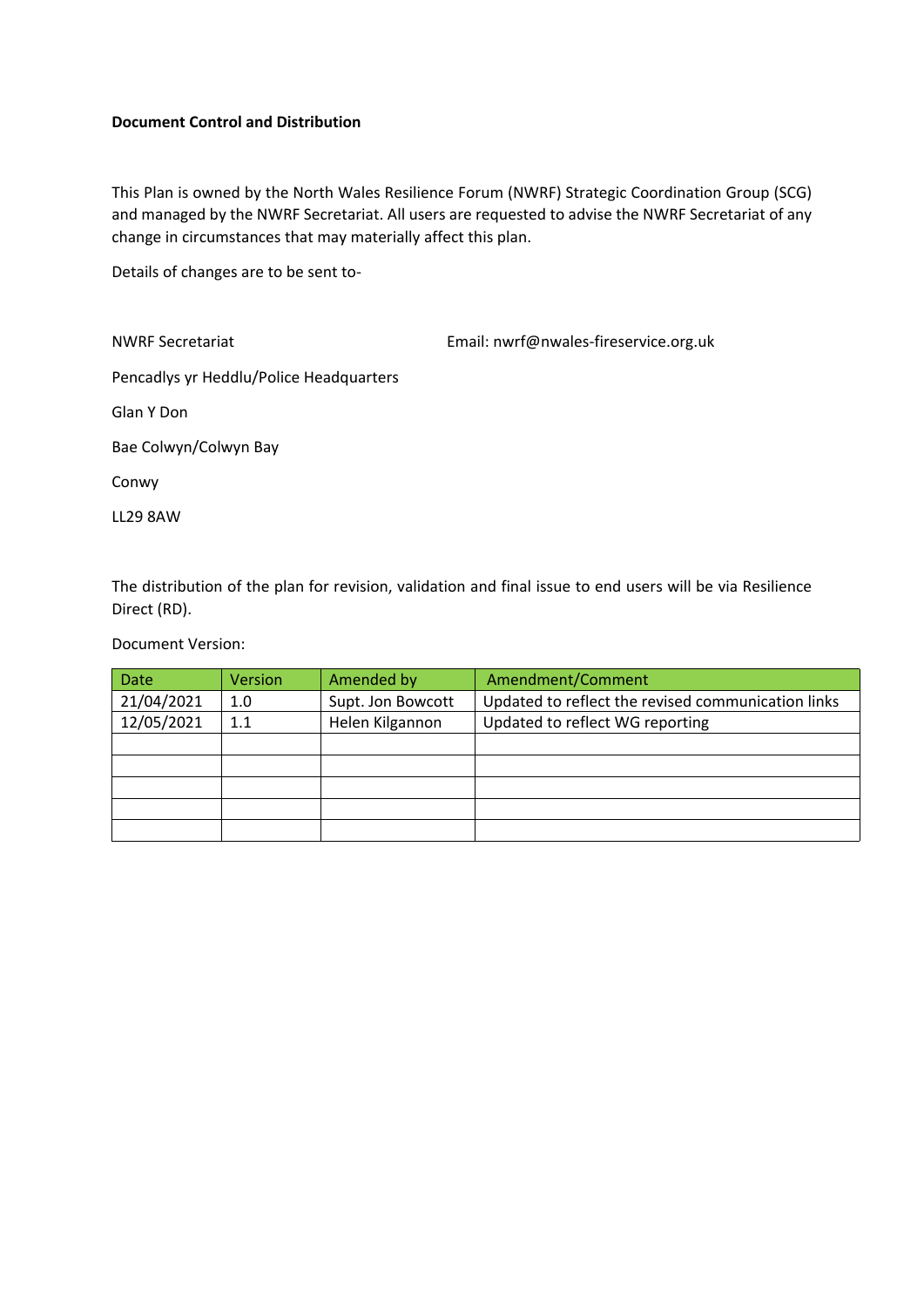#### **Document Control and Distribution**

This Plan is owned by the North Wales Resilience Forum (NWRF) Strategic Coordination Group (SCG) and managed by the NWRF Secretariat. All users are requested to advise the NWRF Secretariat of any change in circumstances that may materially affect this plan.

Details of changes are to be sent to-

| <b>NWRF Secretariat</b>                 | Email: nwrf@nwales-fireservice.org.uk |
|-----------------------------------------|---------------------------------------|
| Pencadlys yr Heddlu/Police Headquarters |                                       |
| Glan Y Don                              |                                       |
| Bae Colwyn/Colwyn Bay                   |                                       |
| Conwy                                   |                                       |
| <b>LL29 8AW</b>                         |                                       |

The distribution of the plan for revision, validation and final issue to end users will be via Resilience Direct (RD).

Document Version:

| <b>Date</b> | Version | Amended by        | Amendment/Comment                                  |
|-------------|---------|-------------------|----------------------------------------------------|
| 21/04/2021  | 1.0     | Supt. Jon Bowcott | Updated to reflect the revised communication links |
| 12/05/2021  | 1.1     | Helen Kilgannon   | Updated to reflect WG reporting                    |
|             |         |                   |                                                    |
|             |         |                   |                                                    |
|             |         |                   |                                                    |
|             |         |                   |                                                    |
|             |         |                   |                                                    |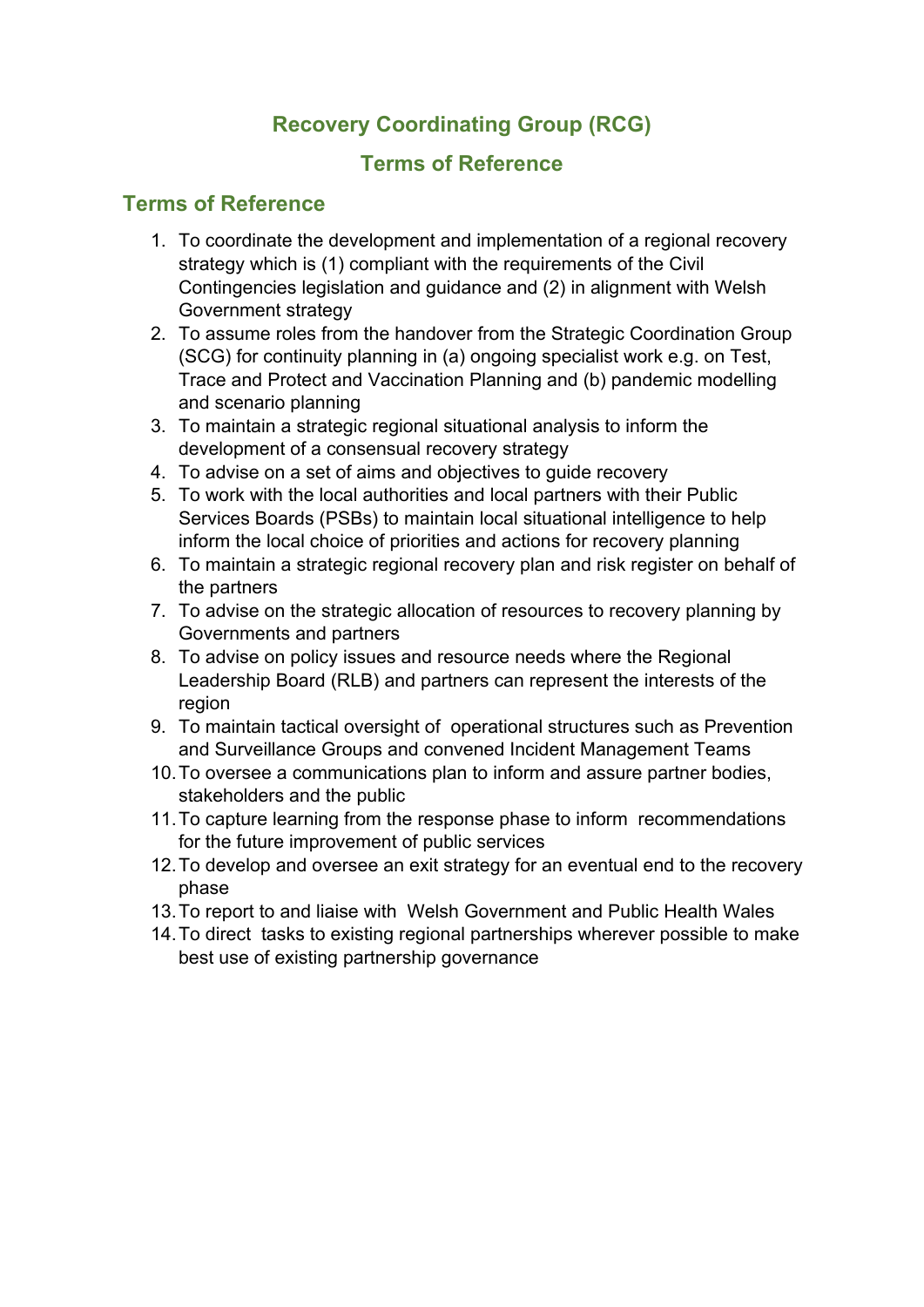### **Recovery Coordinating Group (RCG)**

#### **Terms of Reference**

#### **Terms of Reference**

- 1. To coordinate the development and implementation of a regional recovery strategy which is (1) compliant with the requirements of the Civil Contingencies legislation and guidance and (2) in alignment with Welsh Government strategy
- 2. To assume roles from the handover from the Strategic Coordination Group (SCG) for continuity planning in (a) ongoing specialist work e.g. on Test, Trace and Protect and Vaccination Planning and (b) pandemic modelling and scenario planning
- 3. To maintain a strategic regional situational analysis to inform the development of a consensual recovery strategy
- 4. To advise on a set of aims and objectives to guide recovery
- 5. To work with the local authorities and local partners with their Public Services Boards (PSBs) to maintain local situational intelligence to help inform the local choice of priorities and actions for recovery planning
- 6. To maintain a strategic regional recovery plan and risk register on behalf of the partners
- 7. To advise on the strategic allocation of resources to recovery planning by Governments and partners
- 8. To advise on policy issues and resource needs where the Regional Leadership Board (RLB) and partners can represent the interests of the region
- 9. To maintain tactical oversight of operational structures such as Prevention and Surveillance Groups and convened Incident Management Teams
- 10.To oversee a communications plan to inform and assure partner bodies, stakeholders and the public
- 11.To capture learning from the response phase to inform recommendations for the future improvement of public services
- 12.To develop and oversee an exit strategy for an eventual end to the recovery phase
- 13.To report to and liaise with Welsh Government and Public Health Wales
- 14.To direct tasks to existing regional partnerships wherever possible to make best use of existing partnership governance